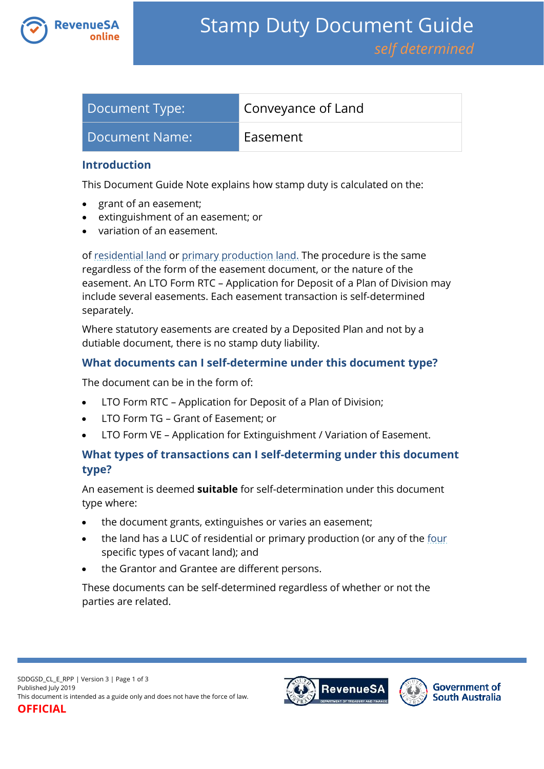

| Document Type: | Conveyance of Land |
|----------------|--------------------|
| Document Name: | Easement           |

### **Introduction**

This Document Guide Note explains how stamp duty is calculated on the:

- grant of an easement;
- extinguishment of an easement; or
- variation of an easement.

of [residential land](https://www.revenuesa.sa.gov.au/stampduty/stamp-duty-document-guide#RR&PP) or [primary production land.](https://www.revenuesa.sa.gov.au/stampduty/stamp-duty-document-guide#RR&PP) The procedure is the same regardless of the form of the easement document, or the nature of the easement. An LTO Form RTC – Application for Deposit of a Plan of Division may include several easements. Each easement transaction is self-determined separately.

Where statutory easements are created by a Deposited Plan and not by a dutiable document, there is no stamp duty liability.

## **What documents can I self-determine under this document type?**

The document can be in the form of:

- LTO Form RTC Application for Deposit of a Plan of Division;
- LTO Form TG Grant of Easement; or
- LTO Form VE Application for Extinguishment / Variation of Easement.

## **What types of transactions can I self-determing under this document type?**

An easement is deemed **suitable** for self-determination under this document type where:

- the document grants, extinguishes or varies an easement;
- the land has a LUC of residential or primary production (or any of the [four](https://www.revenuesa.sa.gov.au/stampduty/real-property-land#NotQualifyingLand) specific types of vacant land); and
- the Grantor and Grantee are different persons.

These documents can be self-determined regardless of whether or not the parties are related.

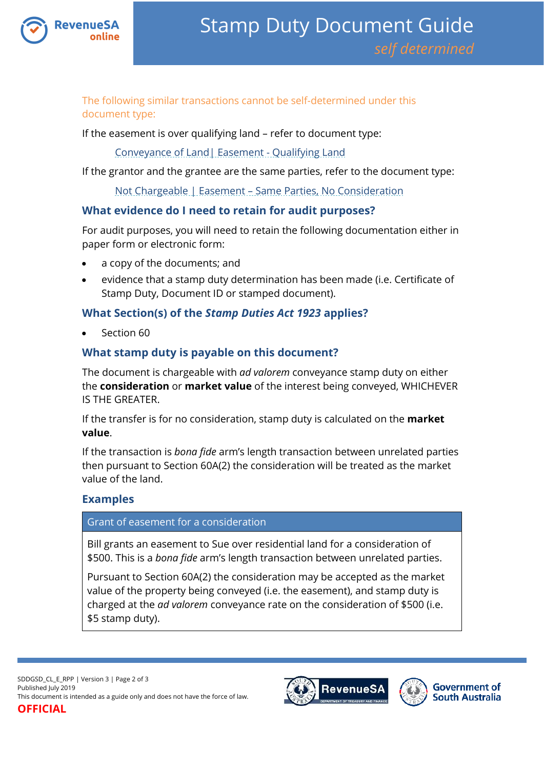

The following similar transactions cannot be self-determined under this document type:

If the easement is over qualifying land – refer to document type:

[Conveyance of Land| Easement -](https://www.revenuesa.sa.gov.au/stampduty/stamp-duty-document-guide/self-determined/conveyance-of-land/sddgsd_cl_e_ql) Qualifying Land

If the grantor and the grantee are the same parties, refer to the document type:

Not Chargeable | Easement – [Same Parties, No Consideration](https://www.revenuesa.sa.gov.au/stampduty/stamp-duty-document-guide/self-determined/not-chargeable/sddgsd_nc_e)

## **What evidence do I need to retain for audit purposes?**

For audit purposes, you will need to retain the following documentation either in paper form or electronic form:

- a copy of the documents; and
- evidence that a stamp duty determination has been made (i.e. Certificate of Stamp Duty, Document ID or stamped document).

# **What Section(s) of the** *Stamp Duties Act 1923* **applies?**

Section 60

# **What stamp duty is payable on this document?**

The document is chargeable with *ad valorem* conveyance stamp duty on either the **consideration** or **market value** of the interest being conveyed, WHICHEVER IS THE GREATER.

If the transfer is for no consideration, stamp duty is calculated on the **market value**.

If the transaction is *bona fide* arm's length transaction between unrelated parties then pursuant to Section 60A(2) the consideration will be treated as the market value of the land.

# **Examples**

#### Grant of easement for a consideration

Bill grants an easement to Sue over residential land for a consideration of \$500. This is a *bona fide* arm's length transaction between unrelated parties.

Pursuant to Section 60A(2) the consideration may be accepted as the market value of the property being conveyed (i.e. the easement), and stamp duty is charged at the *ad valorem* conveyance rate on the consideration of \$500 (i.e. \$5 stamp duty).